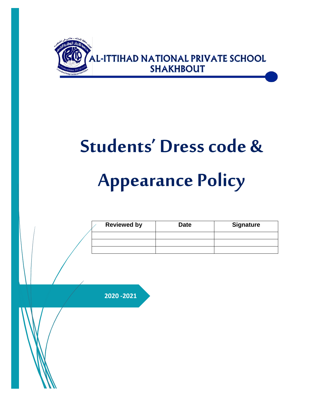

# **Students' Dress code & Appearance Policy**

| <b>Reviewed by</b> | <b>Date</b> | <b>Signature</b> |
|--------------------|-------------|------------------|
|                    |             |                  |
|                    |             |                  |
|                    |             |                  |

**2020 -2021**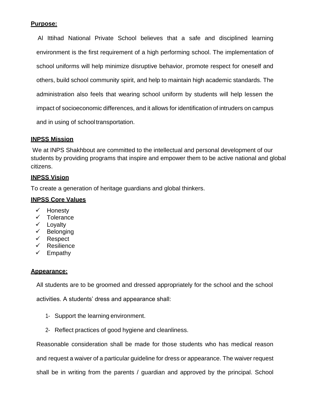## **Purpose:**

Al Ittihad National Private School believes that a safe and disciplined learning environment is the first requirement of a high performing school. The implementation of school uniforms will help minimize disruptive behavior, promote respect for oneself and others, build school community spirit, and help to maintain high academic standards. The administration also feels that wearing school uniform by students will help lessen the impact of socioeconomic differences, and it allows for identification of intruders on campus and in using of schooltransportation.

## **INPSS Mission**

We at INPS Shakhbout are committed to the intellectual and personal development of our students by providing programs that inspire and empower them to be active national and global citizens.

## **INPSS Vision**

To create a generation of heritage guardians and global thinkers.

## **INPSS Core Values**

- $\checkmark$  Honesty
- $\checkmark$  Tolerance
- $\checkmark$  Loyalty
- $\checkmark$  Belonging
- $\checkmark$  Respect
- $\checkmark$  Resilience
- $\checkmark$  Empathy

### **Appearance:**

All students are to be groomed and dressed appropriately for the school and the school

activities. A students' dress and appearance shall:

- 1- Support the learning environment.
- 2- Reflect practices of good hygiene and cleanliness.

Reasonable consideration shall be made for those students who has medical reason and request a waiver of a particular guideline for dress or appearance. The waiver request shall be in writing from the parents / guardian and approved by the principal. School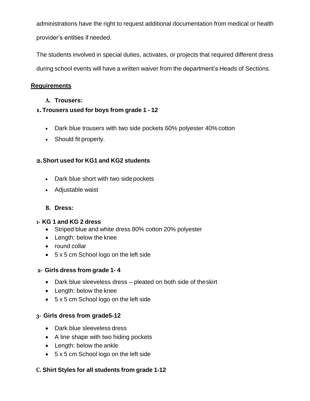administrations have the right to request additional documentation from medical or health provider's entities if needed.

The students involved in special duties, activates, or projects that required different dress during school events will have a written waiver from the department's Heads of Sections.

# **Requirements**

**A. Trousers:**

# **1.Trousers used for boys from grade 1 - 12**

- Dark blue trousers with two side pockets 60% polyester 40% cotton
- Should fit properly.

# **2.Short used for KG1 and KG2 students**

- Dark blue short with two side pockets
- Adjustable waist

# **B. Dress:**

## **1- KG 1 and KG 2 dress**

- Striped blue and white dress 80% cotton 20% polyester
- Length: below the knee
- round collar
- 5 x 5 cm School logo on the left side

## **2- Girls dress from grade 1- 4**

- Dark blue sleeveless dress pleated on both side of theskirt
- Length: below the knee
- 5 x 5 cm School logo on the left side

## **3- Girls dress from grade5-12**

- Dark blue sleeveless dress
- A line shape with two hiding pockets
- Length: below the ankle
- 5 x 5 cm School logo on the left side

## **C. Shirt Styles for all students from grade 1-12**